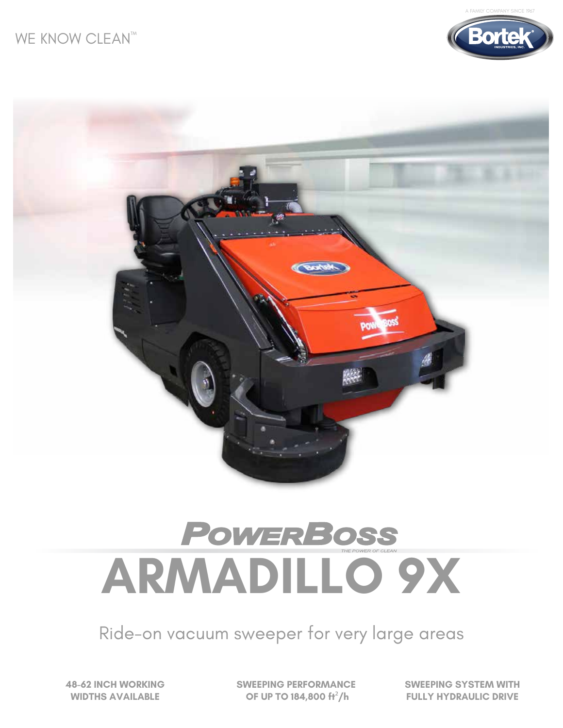



# **ARMADILLO 9X**

Ride-on vacuum sweeper for very large areas

**48-62 INCH WORKING WIDTHS AVAILABLE**

**SWEEPING PERFORMANCE OF UP TO 184,800 ft**²**/h**

**SWEEPING SYSTEM WITH FULLY HYDRAULIC DRIVE**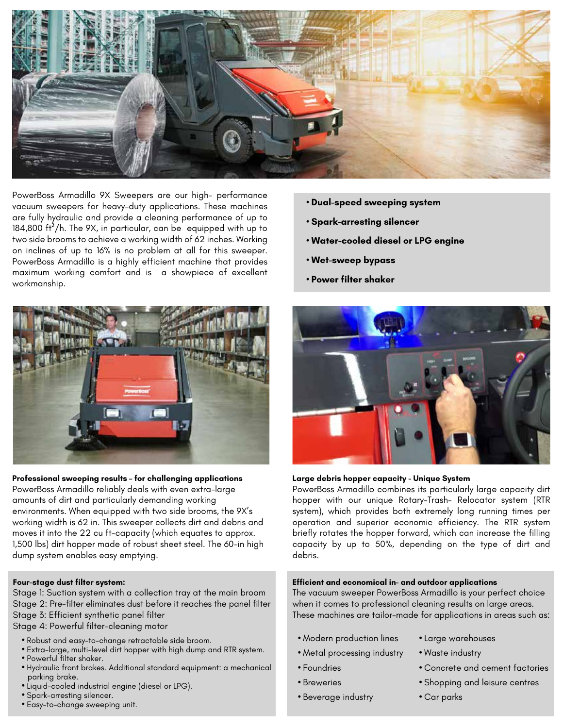

PowerBoss Armadillo 9X Sweepers are our high- performance vacuum sweepers for heavy-duty applications. These machines are fully hydraulic and provide a cleaning performance of up to 184,800 ft²/h. The 9X, in particular, can be equipped with up to two side brooms to achieve a working width of 62 inches. Working on inclines of up to 16% is no problem at all for this sweeper. PowerBoss Armadillo is a highly efficient machine that provides maximum working comfort and is a showpiece of excellent workmanship.



#### **Professional sweeping results – for challenging applications**

PowerBoss Armadillo reliably deals with even extra-large amounts of dirt and particularly demanding working environments. When equipped with two side brooms, the 9X's working width is 62 in. This sweeper collects dirt and debris and moves it into the 22 cu ft-capacity (which equates to approx. 1,500 lbs) dirt hopper made of robust sheet steel. The 60-in high dump system enables easy emptying.

#### **Four-stage dust filter system:**

Stage 1: Suction system with a collection tray at the main broom Stage 2: Pre-filter eliminates dust before it reaches the panel filter Stage 3: Efficient synthetic panel filter

Stage 4: Powerful filter-cleaning motor

- Robust and easy-to-change retractable side broom.
- Extra-large, multi-level dirt hopper with high dump and RTR system. **•** Powerful filter shaker.
- Hydraulic front brakes. Additional standard equipment: a mechanical parking brake.
- Liquid-cooled industrial engine (diesel or LPG).
- Spark-arresting silencer.
- Easy-to-change sweeping unit.
- **Dual-speed sweeping system**
- **Spark-arresting silencer**
- **Water-cooled diesel or LPG engine**
- **Wet-sweep bypass**
- **Power filter shaker**



#### **Large debris hopper capacity - Unique System**

PowerBoss Armadillo combines its particularly large capacity dirt hopper with our unique Rotary-Trash- Relocator system (RTR system), which provides both extremely long running times per operation and superior economic efficiency. The RTR system briefly rotates the hopper forward, which can increase the filling capacity by up to 50%, depending on the type of dirt and debris.

#### **Efficient and economical in- and outdoor applications**

The vacuum sweeper PowerBoss Armadillo is your perfect choice when it comes to professional cleaning results on large areas. These machines are tailor-made for applications in areas such as:

- Modern production lines
- Large warehouses **•** Waste industry
- Metal processing industry
- Foundries
- Breweries
- Beverage industry
- Concrete and cement factories
- Shopping and leisure centres
- Car parks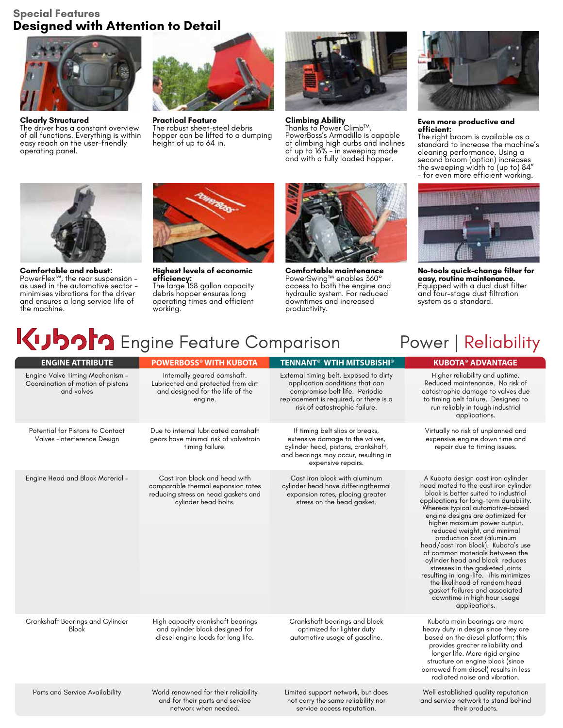#### **Special Features Designed with Attention to Detail**



**Clearly Structured** The driver has a constant overview of all functions. Everything is within easy reach on the user-friendly operating panel.



**Practical Feature** The robust sheet-steel debris hopper can be lifted to a dumping height of up to 64 in.



**Climbing Ability**<br>Thanks to Power Climb™, PowerBoss's Armadillo is capable of climbing high curbs and inclines of up to 16% - in sweeping mode and with a fully loaded hopper.



**Comfortable and robust:**<br>PowerFlex™, the rear suspension – as used in the automotive sector minimises vibrations for the driver and ensures a long service life of the machine.



**Highest levels of economic efficiency:** The large 158 gallon capacity debris hopper ensures long operating times and efficient working.

network when needed.



**Comfortable maintenance** PowerSwing™ enables 360° access to both the engine and hydraulic system. For reduced downtimes and increased productivity.

service access reputation.



**Even more productive and efficient:**

The right broom is available as a standard to increase the machine's cleaning performance. Using a second broom (option) increases the sweeping width to (up to) 84" - for even more efficient working.



**No-tools quick-change filter for easy, routine maintenance.** Equipped with a dual dust filter and four-stage dust filtration system as a standard.

their products.

## **Kubor** Engine Feature Comparison Power | Reliability

| <b>ENGINE ATTRIBUTE</b>                                                            | <b>POWERBOSS® WITH KUBOTA</b>                                                                                                      | <b>TENNANT<sup>®</sup> WTIH MITSUBISHI<sup>®</sup></b>                                                                                                                                 | <b>KUBOTA® ADVANTAGE</b>                                                                                                                                                                                                                                                                                                                                                                                                                                                                                                                                                                                                                      |
|------------------------------------------------------------------------------------|------------------------------------------------------------------------------------------------------------------------------------|----------------------------------------------------------------------------------------------------------------------------------------------------------------------------------------|-----------------------------------------------------------------------------------------------------------------------------------------------------------------------------------------------------------------------------------------------------------------------------------------------------------------------------------------------------------------------------------------------------------------------------------------------------------------------------------------------------------------------------------------------------------------------------------------------------------------------------------------------|
| Engine Valve Timing Mechanism -<br>Coordination of motion of pistons<br>and valves | Internally geared camshaft.<br>Lubricated and protected from dirt<br>and designed for the life of the<br>engine.                   | External timing belt. Exposed to dirty<br>application conditions that can<br>compromise belt life. Periodic<br>replacement is required, or there is a<br>risk of catastrophic failure. | Higher reliability and uptime.<br>Reduced maintenance. No risk of<br>catastrophic damage to valves due<br>to timing belt failure. Designed to<br>run reliably in tough industrial<br>applications.                                                                                                                                                                                                                                                                                                                                                                                                                                            |
| Potential for Pistons to Contact<br>Valves-Interference Design                     | Due to internal lubricated camshaft<br>gears have minimal risk of valvetrain<br>timing failure.                                    | If timing belt slips or breaks,<br>extensive damage to the valves,<br>cylinder head, pistons, crankshaft,<br>and bearings may occur, resulting in<br>expensive repairs.                | Virtually no risk of unplanned and<br>expensive engine down time and<br>repair due to timing issues.                                                                                                                                                                                                                                                                                                                                                                                                                                                                                                                                          |
| Engine Head and Block Material -                                                   | Cast iron block and head with<br>comparable thermal expansion rates<br>reducing stress on head gaskets and<br>cylinder head bolts. | Cast iron block with aluminum<br>cylinder head have differingthermal<br>expansion rates, placing greater<br>stress on the head gasket.                                                 | A Kubota design cast iron cylinder<br>head mated to the cast iron cylinder<br>block is better suited to industrial<br>applications for long-term durability.<br>Whereas typical automotive-based<br>engine designs are optimized for<br>higher maximum power output,<br>reduced weight, and minimal<br>production cost (aluminum<br>head/cast iron block). Kubota's use<br>of common materials between the<br>cylinder head and block reduces<br>stresses in the gasketed joints<br>resulting in long-life. This minimizes<br>the likelihood of random head<br>gasket failures and associated<br>downtime in high hour usage<br>applications. |
| Crankshaft Bearings and Cylinder<br>Block                                          | High capacity crankshaft bearings<br>and cylinder block designed for<br>diesel engine loads for long life.                         | Crankshaft bearings and block<br>optimized for lighter duty<br>automotive usage of gasoline.                                                                                           | Kubota main bearings are more<br>heavy duty in design since they are<br>based on the diesel platform; this<br>provides greater reliability and<br>longer life. More rigid engine<br>structure on engine block (since<br>borrowed from diesel) results in less<br>radiated noise and vibration.                                                                                                                                                                                                                                                                                                                                                |
| Parts and Service Availability                                                     | World renowned for their reliability<br>and for their parts and service                                                            | Limited support network, but does<br>not carry the same reliability nor                                                                                                                | Well established quality reputation<br>and service network to stand behind                                                                                                                                                                                                                                                                                                                                                                                                                                                                                                                                                                    |